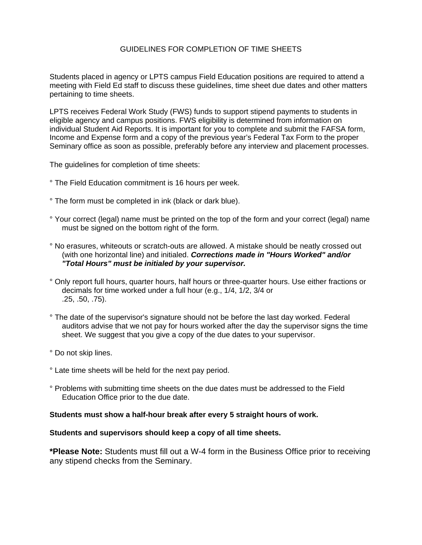# GUIDELINES FOR COMPLETION OF TIME SHEETS

Students placed in agency or LPTS campus Field Education positions are required to attend a meeting with Field Ed staff to discuss these guidelines, time sheet due dates and other matters pertaining to time sheets.

LPTS receives Federal Work Study (FWS) funds to support stipend payments to students in eligible agency and campus positions. FWS eligibility is determined from information on individual Student Aid Reports. It is important for you to complete and submit the FAFSA form, Income and Expense form and a copy of the previous year's Federal Tax Form to the proper Seminary office as soon as possible, preferably before any interview and placement processes.

The guidelines for completion of time sheets:

- ° The Field Education commitment is 16 hours per week.
- ° The form must be completed in ink (black or dark blue).
- ° Your correct (legal) name must be printed on the top of the form and your correct (legal) name must be signed on the bottom right of the form.
- ° No erasures, whiteouts or scratch-outs are allowed. A mistake should be neatly crossed out (with one horizontal line) and initialed. *Corrections made in "Hours Worked" and/or "Total Hours" must be initialed by your supervisor.*
- ° Only report full hours, quarter hours, half hours or three-quarter hours. Use either fractions or decimals for time worked under a full hour (e.g., 1/4, 1/2, 3/4 or .25, .50, .75).
- ° The date of the supervisor's signature should not be before the last day worked. Federal auditors advise that we not pay for hours worked after the day the supervisor signs the time sheet. We suggest that you give a copy of the due dates to your supervisor.
- ° Do not skip lines.
- ° Late time sheets will be held for the next pay period.
- ° Problems with submitting time sheets on the due dates must be addressed to the Field Education Office prior to the due date.

# **Students must show a half-hour break after every 5 straight hours of work.**

# **Students and supervisors should keep a copy of all time sheets.**

**\*Please Note:** Students must fill out a W-4 form in the Business Office prior to receiving any stipend checks from the Seminary.